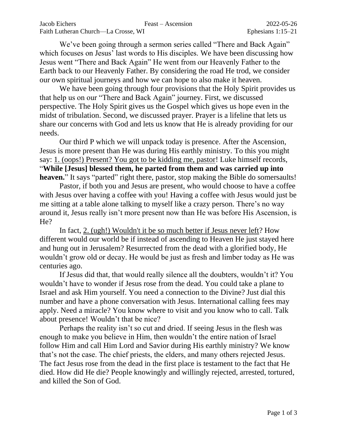We've been going through a sermon series called "There and Back Again" which focuses on Jesus' last words to His disciples. We have been discussing how Jesus went "There and Back Again" He went from our Heavenly Father to the Earth back to our Heavenly Father. By considering the road He trod, we consider our own spiritual journeys and how we can hope to also make it heaven.

We have been going through four provisions that the Holy Spirit provides us that help us on our "There and Back Again" journey. First, we discussed perspective. The Holy Spirit gives us the Gospel which gives us hope even in the midst of tribulation. Second, we discussed prayer. Prayer is a lifeline that lets us share our concerns with God and lets us know that He is already providing for our needs.

Our third P which we will unpack today is presence. After the Ascension, Jesus is more present than He was during His earthly ministry. To this you might say: 1. (oops!) Present? You got to be kidding me, pastor! Luke himself records, "**While [Jesus] blessed them, he parted from them and was carried up into heaven.**" It says "parted" right there, pastor, stop making the Bible do somersaults!

Pastor, if both you and Jesus are present, who would choose to have a coffee with Jesus over having a coffee with you! Having a coffee with Jesus would just be me sitting at a table alone talking to myself like a crazy person. There's no way around it, Jesus really isn't more present now than He was before His Ascension, is He?

In fact, 2. (ugh!) Wouldn't it be so much better if Jesus never left? How different would our world be if instead of ascending to Heaven He just stayed here and hung out in Jerusalem? Resurrected from the dead with a glorified body, He wouldn't grow old or decay. He would be just as fresh and limber today as He was centuries ago.

If Jesus did that, that would really silence all the doubters, wouldn't it? You wouldn't have to wonder if Jesus rose from the dead. You could take a plane to Israel and ask Him yourself. You need a connection to the Divine? Just dial this number and have a phone conversation with Jesus. International calling fees may apply. Need a miracle? You know where to visit and you know who to call. Talk about presence! Wouldn't that be nice?

Perhaps the reality isn't so cut and dried. If seeing Jesus in the flesh was enough to make you believe in Him, then wouldn't the entire nation of Israel follow Him and call Him Lord and Savior during His earthly ministry? We know that's not the case. The chief priests, the elders, and many others rejected Jesus. The fact Jesus rose from the dead in the first place is testament to the fact that He died. How did He die? People knowingly and willingly rejected, arrested, tortured, and killed the Son of God.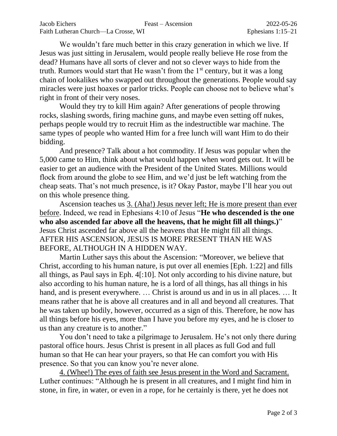We wouldn't fare much better in this crazy generation in which we live. If Jesus was just sitting in Jerusalem, would people really believe He rose from the dead? Humans have all sorts of clever and not so clever ways to hide from the truth. Rumors would start that He wasn't from the  $1<sup>st</sup>$  century, but it was a long chain of lookalikes who swapped out throughout the generations. People would say miracles were just hoaxes or parlor tricks. People can choose not to believe what's right in front of their very noses.

Would they try to kill Him again? After generations of people throwing rocks, slashing swords, firing machine guns, and maybe even setting off nukes, perhaps people would try to recruit Him as the indestructible war machine. The same types of people who wanted Him for a free lunch will want Him to do their bidding.

And presence? Talk about a hot commodity. If Jesus was popular when the 5,000 came to Him, think about what would happen when word gets out. It will be easier to get an audience with the President of the United States. Millions would flock from around the globe to see Him, and we'd just be left watching from the cheap seats. That's not much presence, is it? Okay Pastor, maybe I'll hear you out on this whole presence thing.

Ascension teaches us 3. (Aha!) Jesus never left; He is more present than ever before. Indeed, we read in Ephesians 4:10 of Jesus "**He who descended is the one who also ascended far above all the heavens, that he might fill all things.)**" Jesus Christ ascended far above all the heavens that He might fill all things. AFTER HIS ASCENSION, JESUS IS MORE PRESENT THAN HE WAS BEFORE, ALTHOUGH IN A HIDDEN WAY.

Martin Luther says this about the Ascension: "Moreover, we believe that Christ, according to his human nature, is put over all enemies [Eph. 1:22] and fills all things, as Paul says in Eph. 4[:10]. Not only according to his divine nature, but also according to his human nature, he is a lord of all things, has all things in his hand, and is present everywhere. … Christ is around us and in us in all places. … It means rather that he is above all creatures and in all and beyond all creatures. That he was taken up bodily, however, occurred as a sign of this. Therefore, he now has all things before his eyes, more than I have you before my eyes, and he is closer to us than any creature is to another."

You don't need to take a pilgrimage to Jerusalem. He's not only there during pastoral office hours. Jesus Christ is present in all places as full God and full human so that He can hear your prayers, so that He can comfort you with His presence. So that you can know you're never alone.

4. (Whee!) The eyes of faith see Jesus present in the Word and Sacrament. Luther continues: "Although he is present in all creatures, and I might find him in stone, in fire, in water, or even in a rope, for he certainly is there, yet he does not